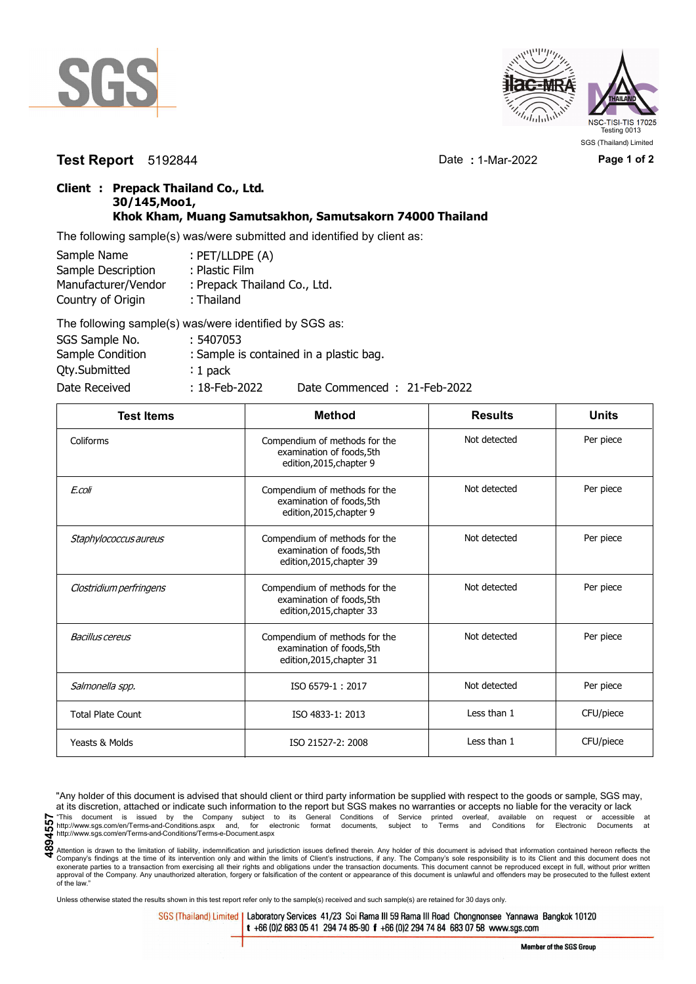



**Test Report** 5192844 Date **:** 1-Mar-2022 **Page 1 of 2**

## **Client : Prepack Thailand Co., Ltd. 30/145,Moo1, Khok Kham, Muang Samutsakhon, Samutsakorn 74000 Thailand**

The following sample(s) was/were submitted and identified by client as:

| Sample Name         | : PET/LLDPE (A)              |
|---------------------|------------------------------|
| Sample Description  | : Plastic Film               |
| Manufacturer/Vendor | : Prepack Thailand Co., Ltd. |
| Country of Origin   | : Thailand                   |
|                     |                              |

| The following sample(s) was/were identified by SGS as: |                  |                                         |
|--------------------------------------------------------|------------------|-----------------------------------------|
| SGS Sample No.                                         | : 5407053        |                                         |
| Sample Condition                                       |                  | : Sample is contained in a plastic bag. |
| <b>Qty.Submitted</b>                                   | $: 1$ pack       |                                         |
| Date Received                                          | $: 18$ -Feb-2022 | Date Commenced: 21-Feb-2022             |

| <b>Test Items</b>        | <b>Method</b>                                                                           | <b>Results</b> | <b>Units</b> |
|--------------------------|-----------------------------------------------------------------------------------------|----------------|--------------|
| Coliforms                | Compendium of methods for the<br>examination of foods, 5th<br>edition, 2015, chapter 9  | Not detected   | Per piece    |
| E.coli                   | Compendium of methods for the<br>examination of foods, 5th<br>edition, 2015, chapter 9  | Not detected   | Per piece    |
| Staphylococcus aureus    | Compendium of methods for the<br>examination of foods, 5th<br>edition, 2015, chapter 39 | Not detected   | Per piece    |
| Clostridium perfringens  | Compendium of methods for the<br>examination of foods, 5th<br>edition, 2015, chapter 33 | Not detected   | Per piece    |
| <b>Bacillus cereus</b>   | Compendium of methods for the<br>examination of foods, 5th<br>edition, 2015, chapter 31 | Not detected   | Per piece    |
| Salmonella spp.          | ISO 6579-1:2017                                                                         | Not detected   | Per piece    |
| <b>Total Plate Count</b> | ISO 4833-1: 2013                                                                        | Less than 1    | CFU/piece    |
| Yeasts & Molds           | ISO 21527-2: 2008                                                                       | Less than 1    | CFU/piece    |

"Any holder of this document is advised that should client or third party information be supplied with respect to the goods or sample, SGS may, at its discretion, attached or indicate such information to the report but SGS makes no warranties or accepts no liable for the veracity or lack This document is issued by the Company subject to its General Conditions of Service printed overleaf, available on request or accessible at the enterprison of the company subject to its General Conditions of Service printe

Attention is drawn to the limitation of liability, indemnification and jurisdiction issues defined therein. Any holder of this document is advised that information contained hereon reflects the Company's findings at the time of its intervention only and within the limits of Client's instructions, if any. The Company's sole responsibility is to its Client and this document does not<br>exonerate parties to a transacti approval of the Company. Any unauthorized alteration, forgery or falsification of the content or appearance of this document is unlawful and offenders may be prosecuted to the fullest extent approval of the Company. Any un of the law."

Unless otherwise stated the results shown in this test report refer only to the sample(s) received and such sample(s) are retained for 30 days only.

SGS (Thailand) Limited | Laboratory Services 41/23 Soi Rama III 59 Rama III Road Chongnonsee Yannawa Bangkok 10120 t +66 (0)2 683 05 41 294 74 85-90 f +66 (0)2 294 74 84 683 07 58 www.sgs.com